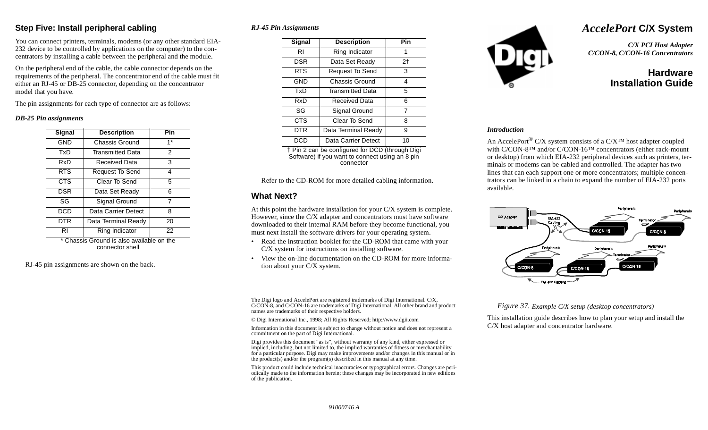### **Step Five: Install peripheral cabling**

You can connect printers, terminals, modems (or any other standard EIA-232 device to be controlled by applications on the computer) to the concentrators by installing a cable between the peripheral and the module.

On the peripheral end of the cable, the cable connector depends on the requirements of the peripheral. The concentrator end of the cable must fit either an RJ-45 or DB-25 connector, depending on the concentrator model that you have.

The pin assignments for each type of connector are as follows:

#### *DB-25 Pin assignments*

| Signal     | <b>Description</b>      | Pin           |
|------------|-------------------------|---------------|
| <b>GND</b> | <b>Chassis Ground</b>   | $1*$          |
| TxD        | <b>Transmitted Data</b> | $\mathcal{P}$ |
| RxD        | Received Data           | 3             |
| <b>RTS</b> | Request To Send         | 4             |
| <b>CTS</b> | Clear To Send           | 5             |
| <b>DSR</b> | Data Set Ready          | 6             |
| SG         | Signal Ground           | 7             |
| <b>DCD</b> | Data Carrier Detect     | 8             |
| DTR        | Data Terminal Ready     | 20            |
| RI         | Ring Indicator          | 22            |
| .          |                         | . .           |

Chassis Ground is also available on the connector shell

RJ-45 pin assignments are shown on the back.

#### *RJ-45 Pin Assignments*

| Signal     | <b>Description</b>      | Pin |
|------------|-------------------------|-----|
| RI         | Ring Indicator          | 1   |
| <b>DSR</b> | Data Set Ready          | 2†  |
| <b>RTS</b> | Request To Send         | 3   |
| GND        | Chassis Ground          | 4   |
| TxD        | <b>Transmitted Data</b> | 5   |
| RxD        | Received Data           | 6   |
| SG         | Signal Ground           | 7   |
| <b>CTS</b> | Clear To Send           | 8   |
| DTR        | Data Terminal Ready     | 9   |
| DCE        | Data Carrier Detect     | 10  |

† Pin 2 can be configured for DCD (through Digi Software) if you want to connect using an 8 pin connector

Refer to the CD-ROM for more detailed cabling information.

### **What Next?**

At this point the hardware installation for your C/X system is complete. However, since the C/X adapter and concentrators must have software downloaded to their internal RAM before they become functional, you must next install the software drivers for your operating system.

- • Read the instruction booklet for the CD-ROM that came with your C/X system for instructions on installing software.
- • View the on-line documentation on the CD-ROM for more information about your C/X system.

The Digi logo and AccelePort are registered trademarks of Digi International. C/X, C/CON-8, and C/CON-16 are trademarks of Digi International. All other brand and product names are trademarks of their respective holders.

© Digi International Inc., 1998; All Rights Reserved; http://www.dgii.com

Information in this document is subject to change without notice and does not represent a commitment on the part of Digi International.

Digi provides this document "as is", without warranty of any kind, either expressed or implied, including, but not limited to, the implied warranties of fitness or merchantability for a particular purpose. Digi may make improvements and/or changes in this manual or in the product(s) and/or the program(s) described in this manual at any time.

This product could include technical inaccuracies or typographical errors. Changes are periodically made to the information herein; these changes may be incorporated in new editions of the publication.



# *AccelePort* **C/X System**

*C/X PCI Host Adapter C/CON-8, C/CON-16 Concentrators*

# **HardwareInstallation Guide**

#### *Introduction*

An AccelePort<sup>®</sup> C/X system consists of a C/X<sup>™</sup> host adapter coupled with C/CON-8™ and/or C/CON-16™ concentrators (either rack-mount or desktop) from which EIA-232 peripheral devices such as printers, terminals or modems can be cabled and controlled. The adapter has two lines that can each support one or more concentrators; multiple concentrators can be linked in a chain to expand the number of EIA-232 ports available.



#### *Figure 37. Example C/X setup (desktop concentrators)*

This installation guide describes how to plan your setup and install the C/X host adapter and concentrator hardware.